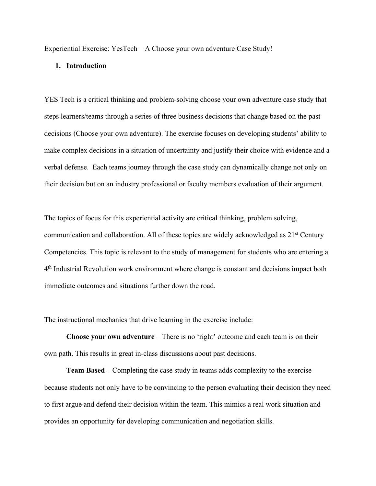Experiential Exercise: YesTech – A Choose your own adventure Case Study!

#### **1. Introduction**

YES Tech is a critical thinking and problem-solving choose your own adventure case study that steps learners/teams through a series of three business decisions that change based on the past decisions (Choose your own adventure). The exercise focuses on developing students' ability to make complex decisions in a situation of uncertainty and justify their choice with evidence and a verbal defense. Each teams journey through the case study can dynamically change not only on their decision but on an industry professional or faculty members evaluation of their argument.

The topics of focus for this experiential activity are critical thinking, problem solving, communication and collaboration. All of these topics are widely acknowledged as 21<sup>st</sup> Century Competencies. This topic is relevant to the study of management for students who are entering a 4th Industrial Revolution work environment where change is constant and decisions impact both immediate outcomes and situations further down the road.

The instructional mechanics that drive learning in the exercise include:

**Choose your own adventure** – There is no 'right' outcome and each team is on their own path. This results in great in-class discussions about past decisions.

**Team Based** – Completing the case study in teams adds complexity to the exercise because students not only have to be convincing to the person evaluating their decision they need to first argue and defend their decision within the team. This mimics a real work situation and provides an opportunity for developing communication and negotiation skills.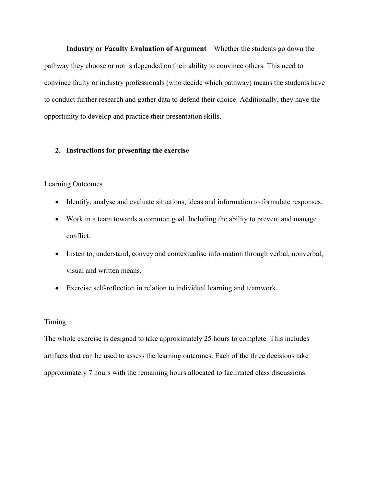**Industry or Faculty Evaluation of Argument** – Whether the students go down the pathway they choose or not is depended on their ability to convince others. This need to convince faulty or industry professionals (who decide which pathway) means the students have to conduct further research and gather data to defend their choice. Additionally, they have the opportunity to develop and practice their presentation skills.

#### **2. Instructions for presenting the exercise**

#### Learning Outcomes

- Identify, analyse and evaluate situations, ideas and information to formulate responses.
- Work in a team towards a common goal. Including the ability to prevent and manage conflict.
- Listen to, understand, convey and contextualise information through verbal, nonverbal, visual and written means.
- Exercise self-reflection in relation to individual learning and teamwork.

#### Timing

The whole exercise is designed to take approximately 25 hours to complete. This includes artifacts that can be used to assess the learning outcomes. Each of the three decisions take approximately 7 hours with the remaining hours allocated to facilitated class discussions.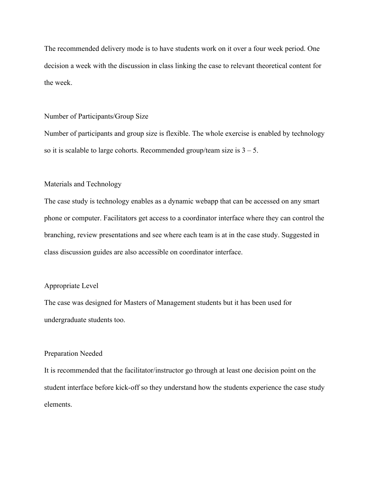The recommended delivery mode is to have students work on it over a four week period. One decision a week with the discussion in class linking the case to relevant theoretical content for the week.

#### Number of Participants/Group Size

Number of participants and group size is flexible. The whole exercise is enabled by technology so it is scalable to large cohorts. Recommended group/team size is  $3 - 5$ .

#### Materials and Technology

The case study is technology enables as a dynamic webapp that can be accessed on any smart phone or computer. Facilitators get access to a coordinator interface where they can control the branching, review presentations and see where each team is at in the case study. Suggested in class discussion guides are also accessible on coordinator interface.

#### Appropriate Level

The case was designed for Masters of Management students but it has been used for undergraduate students too.

#### Preparation Needed

It is recommended that the facilitator/instructor go through at least one decision point on the student interface before kick-off so they understand how the students experience the case study elements.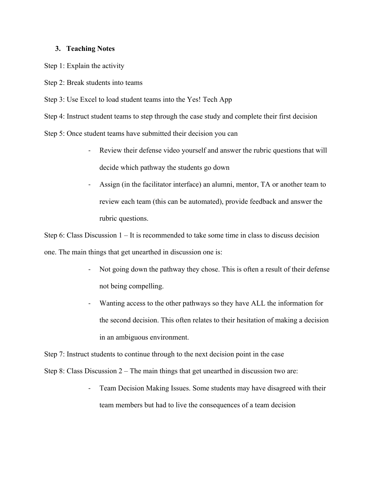#### **3. Teaching Notes**

Step 1: Explain the activity

Step 2: Break students into teams

Step 3: Use Excel to load student teams into the Yes! Tech App

Step 4: Instruct student teams to step through the case study and complete their first decision

Step 5: Once student teams have submitted their decision you can

- Review their defense video yourself and answer the rubric questions that will decide which pathway the students go down
- Assign (in the facilitator interface) an alumni, mentor, TA or another team to review each team (this can be automated), provide feedback and answer the rubric questions.

Step 6: Class Discussion 1 – It is recommended to take some time in class to discuss decision one. The main things that get unearthed in discussion one is:

- Not going down the pathway they chose. This is often a result of their defense not being compelling.
- Wanting access to the other pathways so they have ALL the information for the second decision. This often relates to their hesitation of making a decision in an ambiguous environment.

Step 7: Instruct students to continue through to the next decision point in the case

Step 8: Class Discussion 2 – The main things that get unearthed in discussion two are:

Team Decision Making Issues. Some students may have disagreed with their team members but had to live the consequences of a team decision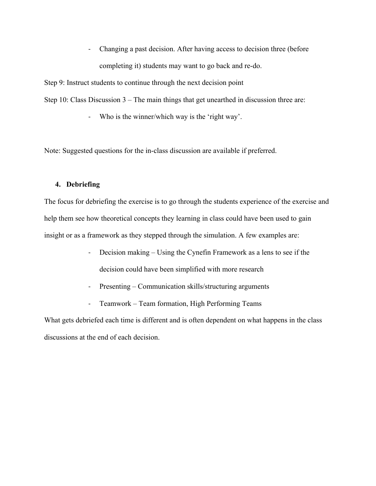- Changing a past decision. After having access to decision three (before completing it) students may want to go back and re-do.

Step 9: Instruct students to continue through the next decision point

Step 10: Class Discussion 3 – The main things that get unearthed in discussion three are:

- Who is the winner/which way is the 'right way'.

Note: Suggested questions for the in-class discussion are available if preferred.

#### **4. Debriefing**

The focus for debriefing the exercise is to go through the students experience of the exercise and help them see how theoretical concepts they learning in class could have been used to gain insight or as a framework as they stepped through the simulation. A few examples are:

- Decision making Using the Cynefin Framework as a lens to see if the decision could have been simplified with more research
- Presenting Communication skills/structuring arguments
- Teamwork Team formation, High Performing Teams

What gets debriefed each time is different and is often dependent on what happens in the class discussions at the end of each decision.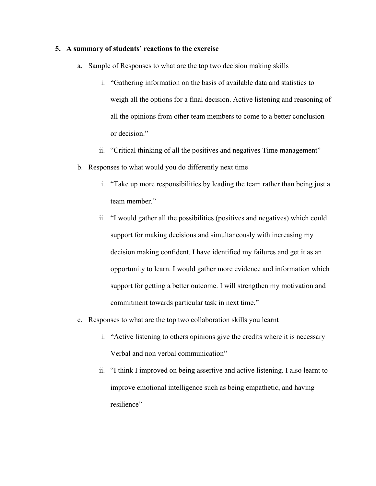#### **5. A summary of students' reactions to the exercise**

- a. Sample of Responses to what are the top two decision making skills
	- i. "Gathering information on the basis of available data and statistics to weigh all the options for a final decision. Active listening and reasoning of all the opinions from other team members to come to a better conclusion or decision."
	- ii. "Critical thinking of all the positives and negatives Time management"
- b. Responses to what would you do differently next time
	- i. "Take up more responsibilities by leading the team rather than being just a team member."
	- ii. "I would gather all the possibilities (positives and negatives) which could support for making decisions and simultaneously with increasing my decision making confident. I have identified my failures and get it as an opportunity to learn. I would gather more evidence and information which support for getting a better outcome. I will strengthen my motivation and commitment towards particular task in next time."
- c. Responses to what are the top two collaboration skills you learnt
	- i. "Active listening to others opinions give the credits where it is necessary Verbal and non verbal communication"
	- ii. "I think I improved on being assertive and active listening. I also learnt to improve emotional intelligence such as being empathetic, and having resilience"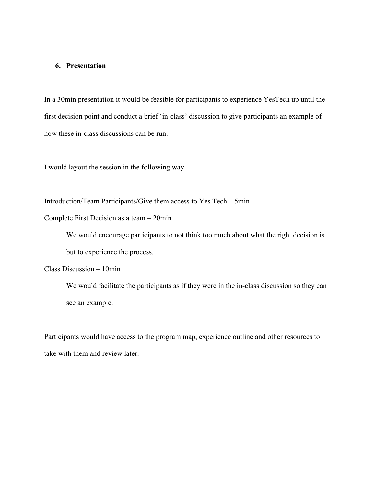#### **6. Presentation**

In a 30min presentation it would be feasible for participants to experience YesTech up until the first decision point and conduct a brief 'in-class' discussion to give participants an example of how these in-class discussions can be run.

I would layout the session in the following way.

Introduction/Team Participants/Give them access to Yes Tech – 5min

Complete First Decision as a team – 20min

We would encourage participants to not think too much about what the right decision is but to experience the process.

Class Discussion – 10min

We would facilitate the participants as if they were in the in-class discussion so they can see an example.

Participants would have access to the program map, experience outline and other resources to take with them and review later.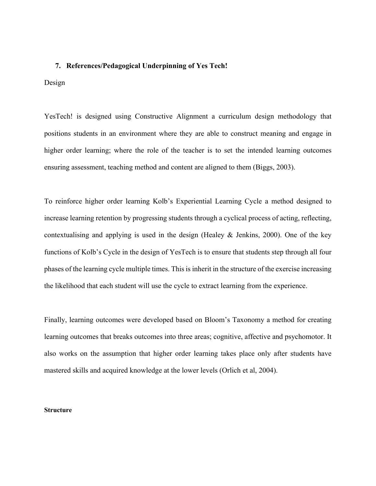#### **7. References/Pedagogical Underpinning of Yes Tech!**

#### Design

YesTech! is designed using Constructive Alignment a curriculum design methodology that positions students in an environment where they are able to construct meaning and engage in higher order learning; where the role of the teacher is to set the intended learning outcomes ensuring assessment, teaching method and content are aligned to them (Biggs, 2003).

To reinforce higher order learning Kolb's Experiential Learning Cycle a method designed to increase learning retention by progressing students through a cyclical process of acting, reflecting, contextualising and applying is used in the design (Healey & Jenkins, 2000). One of the key functions of Kolb's Cycle in the design of YesTech is to ensure that students step through all four phases of the learning cycle multiple times. This is inherit in the structure of the exercise increasing the likelihood that each student will use the cycle to extract learning from the experience.

Finally, learning outcomes were developed based on Bloom's Taxonomy a method for creating learning outcomes that breaks outcomes into three areas; cognitive, affective and psychomotor. It also works on the assumption that higher order learning takes place only after students have mastered skills and acquired knowledge at the lower levels (Orlich et al, 2004).

#### **Structure**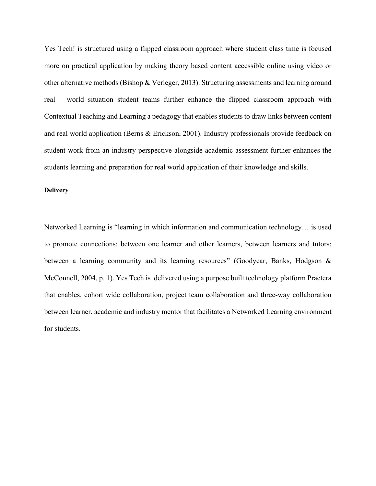Yes Tech! is structured using a flipped classroom approach where student class time is focused more on practical application by making theory based content accessible online using video or other alternative methods (Bishop & Verleger, 2013). Structuring assessments and learning around real – world situation student teams further enhance the flipped classroom approach with Contextual Teaching and Learning a pedagogy that enables students to draw links between content and real world application (Berns & Erickson, 2001). Industry professionals provide feedback on student work from an industry perspective alongside academic assessment further enhances the students learning and preparation for real world application of their knowledge and skills.

#### **Delivery**

Networked Learning is "learning in which information and communication technology… is used to promote connections: between one learner and other learners, between learners and tutors; between a learning community and its learning resources" (Goodyear, Banks, Hodgson & McConnell, 2004, p. 1). Yes Tech is delivered using a purpose built technology platform Practera that enables, cohort wide collaboration, project team collaboration and three-way collaboration between learner, academic and industry mentor that facilitates a Networked Learning environment for students.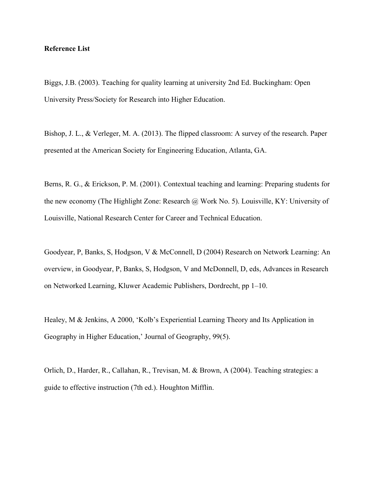#### **Reference List**

Biggs, J.B. (2003). Teaching for quality learning at university 2nd Ed. Buckingham: Open University Press/Society for Research into Higher Education.

Bishop, J. L., & Verleger, M. A. (2013). The flipped classroom: A survey of the research. Paper presented at the American Society for Engineering Education, Atlanta, GA.

Berns, R. G., & Erickson, P. M. (2001). Contextual teaching and learning: Preparing students for the new economy (The Highlight Zone: Research @ Work No. 5). Louisville, KY: University of Louisville, National Research Center for Career and Technical Education.

Goodyear, P, Banks, S, Hodgson, V & McConnell, D (2004) Research on Network Learning: An overview, in Goodyear, P, Banks, S, Hodgson, V and McDonnell, D, eds, Advances in Research on Networked Learning, Kluwer Academic Publishers, Dordrecht, pp 1–10.

Healey, M & Jenkins, A 2000, 'Kolb's Experiential Learning Theory and Its Application in Geography in Higher Education,' Journal of Geography, 99(5).

Orlich, D., Harder, R., Callahan, R., Trevisan, M. & Brown, A (2004). Teaching strategies: a guide to effective instruction (7th ed.). Houghton Mifflin.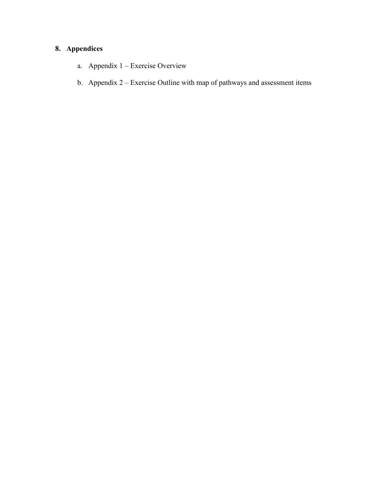### **8. Appendices**

- a. Appendix 1 Exercise Overview
- b. Appendix 2 Exercise Outline with map of pathways and assessment items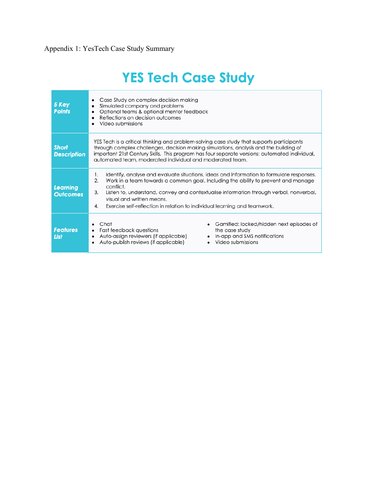# **YES Tech Case Study**

| 5 Key<br><b>Points</b>             | Case Study on complex decision making<br>٠<br>Simulated company and problems<br>$\bullet$<br>Optional teams & optional mentor feedback<br>$\bullet$<br>Reflections on decision outcomes<br>Video submissions                                                                                                                                                                                                           |  |  |  |  |  |
|------------------------------------|------------------------------------------------------------------------------------------------------------------------------------------------------------------------------------------------------------------------------------------------------------------------------------------------------------------------------------------------------------------------------------------------------------------------|--|--|--|--|--|
| <b>Short</b><br><b>Description</b> | YES Tech is a critical thinking and problem-solving case study that supports participants<br>through complex challenges, decision making simulations, analysis and the building of<br>important 21st Century Skills. This program has four separate versions: automated individual,<br>automated team, moderated individual and moderated team.                                                                        |  |  |  |  |  |
| <b>Learning</b><br><b>Outcomes</b> | Identify, analyse and evaluate situations, ideas and information to formulate responses.<br>1.<br>Work in a team towards a common goal. Including the ability to prevent and manage<br>2.<br>conflict.<br>3.<br>Listen to, understand, convey and contextualise information through verbal, nonverbal,<br>visual and written means.<br>4.<br>Exercise self-reflection in relation to individual learning and teamwork. |  |  |  |  |  |
| <b>Features</b><br><b>List</b>     | Chat<br>Gamified: locked/hidden next episodes of<br>Fast feedback questions<br>the case study<br>$\bullet$<br>Auto-assign reviewers (if applicable)<br>In-app and SMS notifications<br>$\bullet$<br>Auto-publish reviews (if applicable)<br>Video submissions<br>$\bullet$                                                                                                                                             |  |  |  |  |  |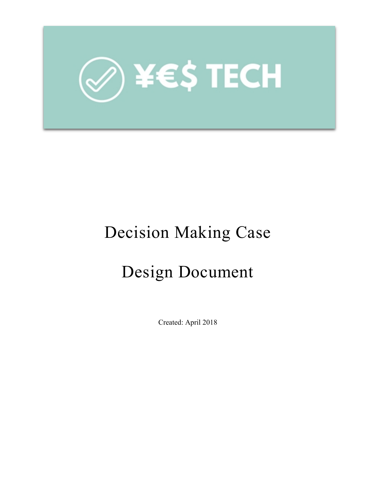

# Decision Making Case

# Design Document

Created: April 2018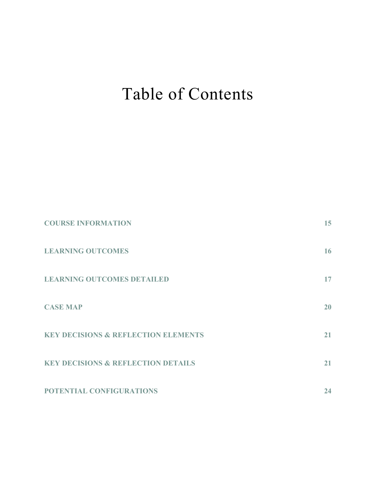# Table of Contents

| <b>COURSE INFORMATION</b>                      | 15 |
|------------------------------------------------|----|
| <b>LEARNING OUTCOMES</b>                       | 16 |
| <b>LEARNING OUTCOMES DETAILED</b>              | 17 |
| <b>CASE MAP</b>                                | 20 |
| <b>KEY DECISIONS &amp; REFLECTION ELEMENTS</b> | 21 |
| <b>KEY DECISIONS &amp; REFLECTION DETAILS</b>  | 21 |
| POTENTIAL CONFIGURATIONS                       | 24 |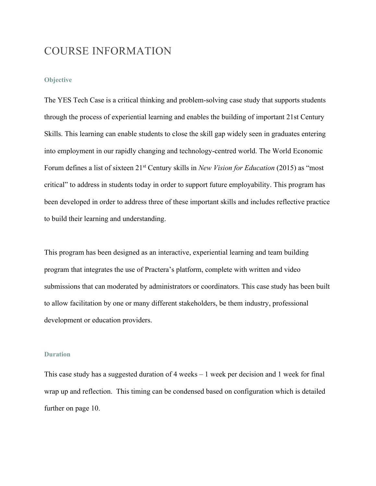### COURSE INFORMATION

#### **Objective**

The YES Tech Case is a critical thinking and problem-solving case study that supports students through the process of experiential learning and enables the building of important 21st Century Skills. This learning can enable students to close the skill gap widely seen in graduates entering into employment in our rapidly changing and technology-centred world. The World Economic Forum defines a list of sixteen 21st Century skills in *New Vision for Education* (2015) as "most critical" to address in students today in order to support future employability. This program has been developed in order to address three of these important skills and includes reflective practice to build their learning and understanding.

This program has been designed as an interactive, experiential learning and team building program that integrates the use of Practera's platform, complete with written and video submissions that can moderated by administrators or coordinators. This case study has been built to allow facilitation by one or many different stakeholders, be them industry, professional development or education providers.

#### **Duration**

This case study has a suggested duration of 4 weeks – 1 week per decision and 1 week for final wrap up and reflection. This timing can be condensed based on configuration which is detailed further on page 10.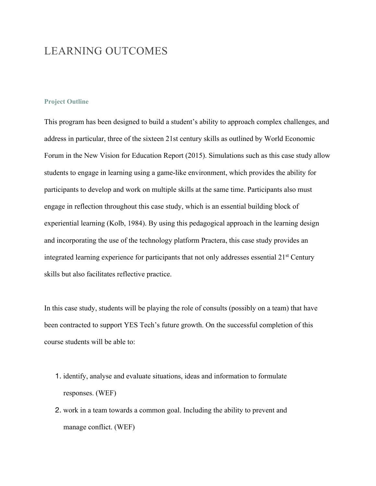### LEARNING OUTCOMES

#### **Project Outline**

This program has been designed to build a student's ability to approach complex challenges, and address in particular, three of the sixteen 21st century skills as outlined by World Economic Forum in the New Vision for Education Report (2015). Simulations such as this case study allow students to engage in learning using a game-like environment, which provides the ability for participants to develop and work on multiple skills at the same time. Participants also must engage in reflection throughout this case study, which is an essential building block of experiential learning (Kolb, 1984). By using this pedagogical approach in the learning design and incorporating the use of the technology platform Practera, this case study provides an integrated learning experience for participants that not only addresses essential 21<sup>st</sup> Century skills but also facilitates reflective practice.

In this case study, students will be playing the role of consults (possibly on a team) that have been contracted to support YES Tech's future growth. On the successful completion of this course students will be able to:

- 1. identify, analyse and evaluate situations, ideas and information to formulate responses. (WEF)
- 2. work in a team towards a common goal. Including the ability to prevent and manage conflict. (WEF)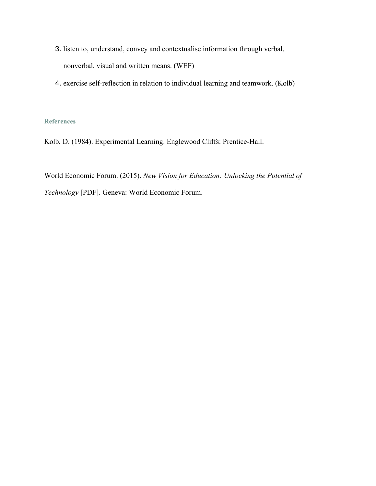- 3. listen to, understand, convey and contextualise information through verbal, nonverbal, visual and written means. (WEF)
- 4. exercise self-reflection in relation to individual learning and teamwork. (Kolb)

#### **References**

Kolb, D. (1984). Experimental Learning. Englewood Cliffs: Prentice-Hall.

World Economic Forum. (2015). *New Vision for Education: Unlocking the Potential of Technology* [PDF]. Geneva: World Economic Forum.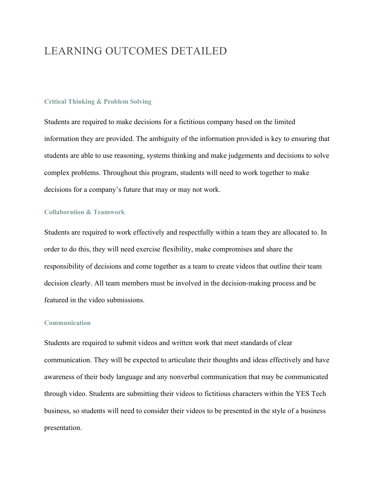## LEARNING OUTCOMES DETAILED

#### **Critical Thinking & Problem Solving**

Students are required to make decisions for a fictitious company based on the limited information they are provided. The ambiguity of the information provided is key to ensuring that students are able to use reasoning, systems thinking and make judgements and decisions to solve complex problems. Throughout this program, students will need to work together to make decisions for a company's future that may or may not work.

#### **Collaboration & Teamwork**

Students are required to work effectively and respectfully within a team they are allocated to. In order to do this, they will need exercise flexibility, make compromises and share the responsibility of decisions and come together as a team to create videos that outline their team decision clearly. All team members must be involved in the decision-making process and be featured in the video submissions.

#### **Communication**

Students are required to submit videos and written work that meet standards of clear communication. They will be expected to articulate their thoughts and ideas effectively and have awareness of their body language and any nonverbal communication that may be communicated through video. Students are submitting their videos to fictitious characters within the YES Tech business, so students will need to consider their videos to be presented in the style of a business presentation.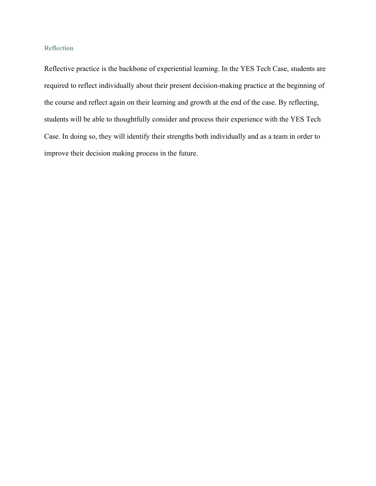#### **Reflection**

Reflective practice is the backbone of experiential learning. In the YES Tech Case, students are required to reflect individually about their present decision-making practice at the beginning of the course and reflect again on their learning and growth at the end of the case. By reflecting, students will be able to thoughtfully consider and process their experience with the YES Tech Case. In doing so, they will identify their strengths both individually and as a team in order to improve their decision making process in the future.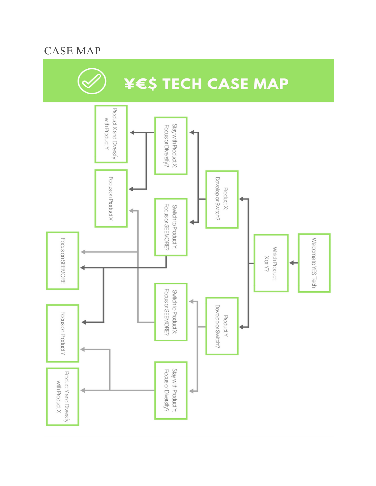# CASE MAP

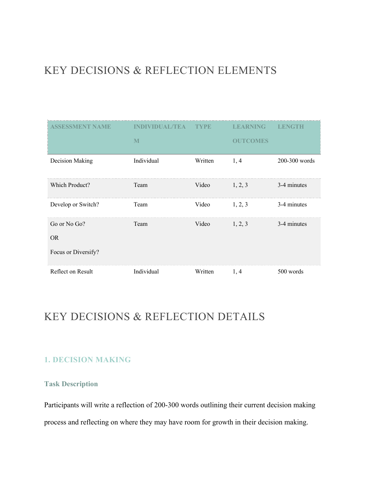## KEY DECISIONS & REFLECTION ELEMENTS

| ASSESSMENT NAME           | INDIVIDUAL/TEA | <b>TYPE</b> | <b>LEARNING</b> | LENGTH          |
|---------------------------|----------------|-------------|-----------------|-----------------|
|                           | M              |             | <b>OUTCOMES</b> |                 |
| Decision Making           | Individual     | Written     | 1, 4            | $200-300$ words |
| Which Product?            | Team           | Video       | 1, 2, 3         | 3-4 minutes     |
| Develop or Switch?        | Team           | Video       | 1, 2, 3         | 3-4 minutes     |
| Go or No Go?<br><b>OR</b> | Team           | Video       | 1, 2, 3         | 3-4 minutes     |
| Focus or Diversify?       |                |             |                 |                 |
| Reflect on Result         | Individual     | Written     | 1, 4            | 500 words       |

## KEY DECISIONS & REFLECTION DETAILS

### **1. DECISION MAKING**

#### **Task Description**

Participants will write a reflection of 200-300 words outlining their current decision making process and reflecting on where they may have room for growth in their decision making.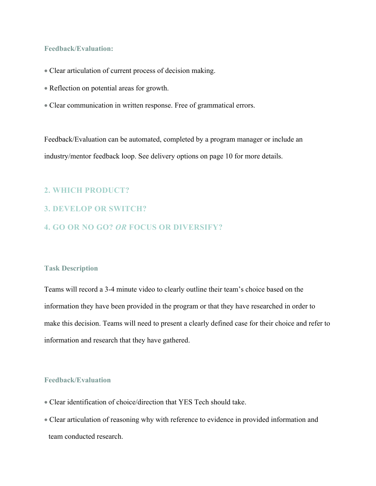#### **Feedback/Evaluation:**

- Clear articulation of current process of decision making.
- Reflection on potential areas for growth.
- Clear communication in written response. Free of grammatical errors.

Feedback/Evaluation can be automated, completed by a program manager or include an industry/mentor feedback loop. See delivery options on page 10 for more details.

#### **2. WHICH PRODUCT?**

- **3. DEVELOP OR SWITCH?**
- **4. GO OR NO GO?** *OR* **FOCUS OR DIVERSIFY?**

#### **Task Description**

Teams will record a 3-4 minute video to clearly outline their team's choice based on the information they have been provided in the program or that they have researched in order to make this decision. Teams will need to present a clearly defined case for their choice and refer to information and research that they have gathered.

#### **Feedback/Evaluation**

- Clear identification of choice/direction that YES Tech should take.
- Clear articulation of reasoning why with reference to evidence in provided information and team conducted research.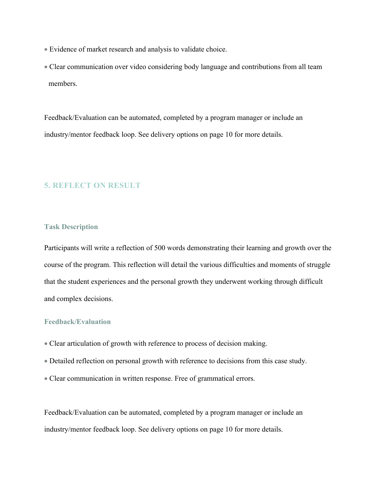- Evidence of market research and analysis to validate choice.
- Clear communication over video considering body language and contributions from all team members.

Feedback/Evaluation can be automated, completed by a program manager or include an industry/mentor feedback loop. See delivery options on page 10 for more details.

#### **5. REFLECT ON RESULT**

#### **Task Description**

Participants will write a reflection of 500 words demonstrating their learning and growth over the course of the program. This reflection will detail the various difficulties and moments of struggle that the student experiences and the personal growth they underwent working through difficult and complex decisions.

#### **Feedback/Evaluation**

- Clear articulation of growth with reference to process of decision making.
- Detailed reflection on personal growth with reference to decisions from this case study.
- Clear communication in written response. Free of grammatical errors.

Feedback/Evaluation can be automated, completed by a program manager or include an industry/mentor feedback loop. See delivery options on page 10 for more details.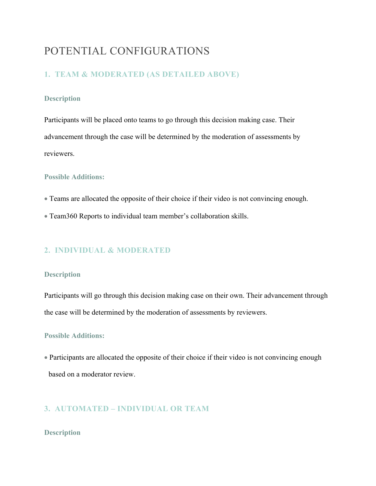## POTENTIAL CONFIGURATIONS

#### **1. TEAM & MODERATED (AS DETAILED ABOVE)**

#### **Description**

Participants will be placed onto teams to go through this decision making case. Their advancement through the case will be determined by the moderation of assessments by reviewers.

#### **Possible Additions:**

- Teams are allocated the opposite of their choice if their video is not convincing enough.
- Team360 Reports to individual team member's collaboration skills.

#### **2. INDIVIDUAL & MODERATED**

#### **Description**

Participants will go through this decision making case on their own. Their advancement through the case will be determined by the moderation of assessments by reviewers.

#### **Possible Additions:**

• Participants are allocated the opposite of their choice if their video is not convincing enough based on a moderator review.

#### **3. AUTOMATED – INDIVIDUAL OR TEAM**

#### **Description**